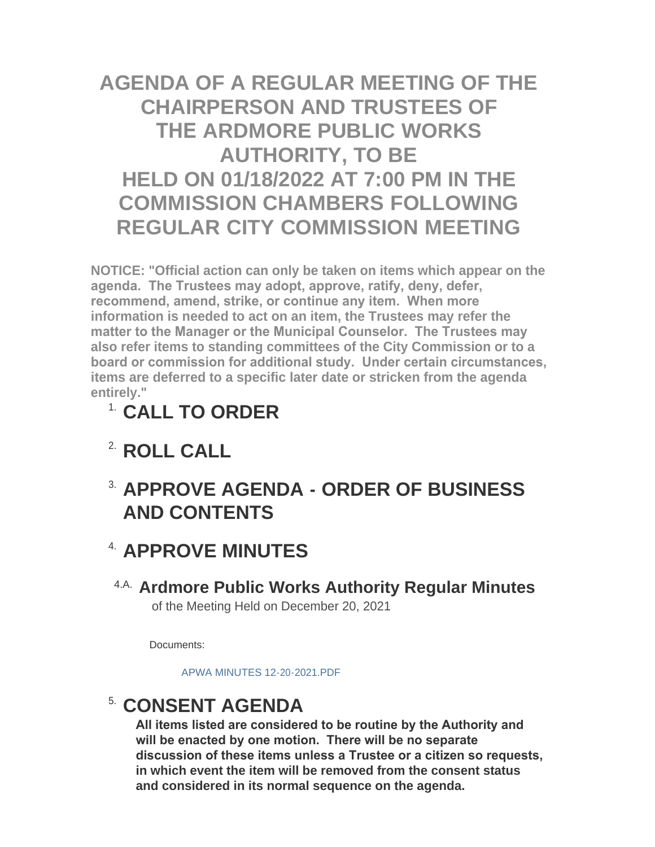# **AGENDA OF A REGULAR MEETING OF THE CHAIRPERSON AND TRUSTEES OF THE ARDMORE PUBLIC WORKS AUTHORITY, TO BE HELD ON 01/18/2022 AT 7:00 PM IN THE COMMISSION CHAMBERS FOLLOWING REGULAR CITY COMMISSION MEETING**

**NOTICE: "Official action can only be taken on items which appear on the agenda. The Trustees may adopt, approve, ratify, deny, defer, recommend, amend, strike, or continue any item. When more information is needed to act on an item, the Trustees may refer the matter to the Manager or the Municipal Counselor. The Trustees may also refer items to standing committees of the City Commission or to a board or commission for additional study. Under certain circumstances, items are deferred to a specific later date or stricken from the agenda entirely."**

- **CALL TO ORDER** 1.
- <sup>2</sup> ROLL CALL
- **APPROVE AGENDA ORDER OF BUSINESS**  3. **AND CONTENTS**

### <sup>4</sup> APPROVE MINUTES

**Ardmore Public Works Authority Regular Minutes** 4.A. of the Meeting Held on December 20, 2021

Documents:

[APWA MINUTES 12-20-2021.PDF](http://www.ardmorecity.org/AgendaCenter/ViewFile/Item/8056?fileID=4899)

## **CONSENT AGENDA**

**All items listed are considered to be routine by the Authority and will be enacted by one motion. There will be no separate discussion of these items unless a Trustee or a citizen so requests, in which event the item will be removed from the consent status and considered in its normal sequence on the agenda.**